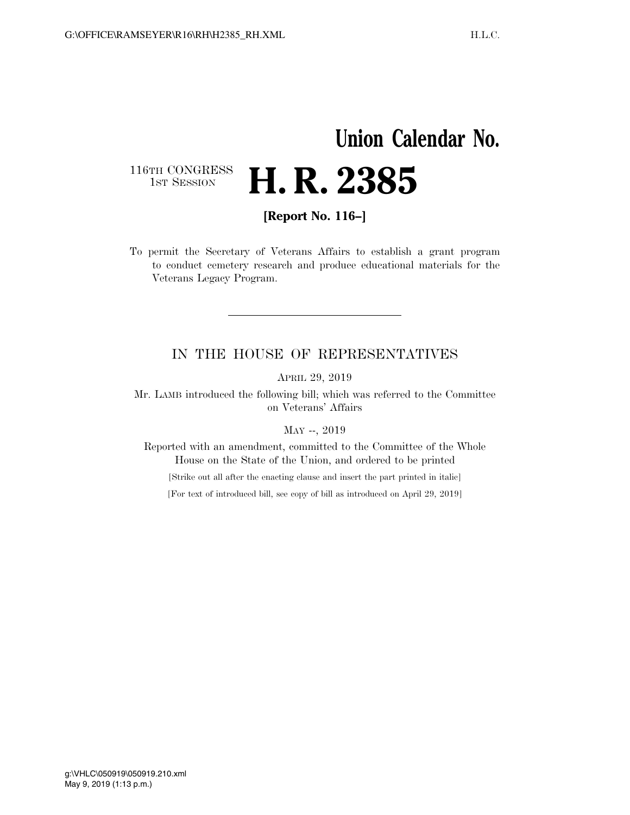## **Union Calendar No.**

116TH CONGRESS<br>1st Session

**[Report No. 116–]** 

H. R. 2385

To permit the Secretary of Veterans Affairs to establish a grant program to conduct cemetery research and produce educational materials for the Veterans Legacy Program.

## IN THE HOUSE OF REPRESENTATIVES

APRIL 29, 2019

Mr. LAMB introduced the following bill; which was referred to the Committee on Veterans' Affairs

MAY --, 2019

Reported with an amendment, committed to the Committee of the Whole House on the State of the Union, and ordered to be printed

[Strike out all after the enacting clause and insert the part printed in italic]

[For text of introduced bill, see copy of bill as introduced on April 29, 2019]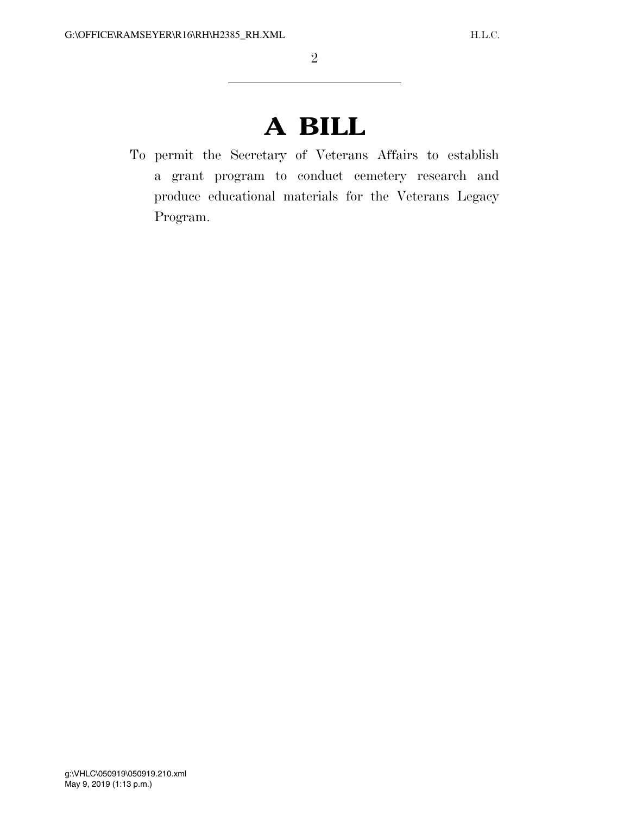## **A BILL**

To permit the Secretary of Veterans Affairs to establish a grant program to conduct cemetery research and produce educational materials for the Veterans Legacy Program.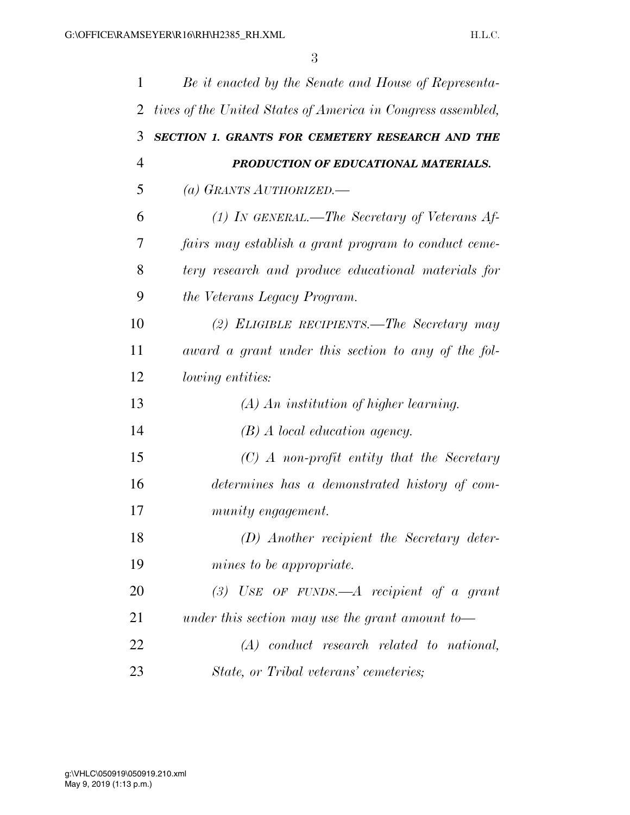| 1  | Be it enacted by the Senate and House of Representa-         |
|----|--------------------------------------------------------------|
| 2  | tives of the United States of America in Congress assembled, |
| 3  | SECTION 1. GRANTS FOR CEMETERY RESEARCH AND THE              |
| 4  | PRODUCTION OF EDUCATIONAL MATERIALS.                         |
| 5  | (a) GRANTS AUTHORIZED.                                       |
| 6  | $(1)$ In GENERAL.—The Secretary of Veterans Af-              |
| 7  | fairs may establish a grant program to conduct ceme-         |
| 8  | tery research and produce educational materials for          |
| 9  | the Veterans Legacy Program.                                 |
| 10 | (2) ELIGIBLE RECIPIENTS.—The Secretary may                   |
| 11 | award a grant under this section to any of the fol-          |
| 12 | <i>lowing entities:</i>                                      |
| 13 | $(A)$ An institution of higher learning.                     |
| 14 | $(B)$ A local education agency.                              |
| 15 | $(C)$ A non-profit entity that the Secretary                 |
| 16 | determines has a demonstrated history of com-                |
| 17 | munity engagement.                                           |
| 18 | $(D)$ Another recipient the Secretary deter-                 |
| 19 | mines to be appropriate.                                     |
| 20 | (3) USE OF FUNDS.—A recipient of a grant                     |
| 21 | under this section may use the grant amount to-              |
| 22 | $(A)$ conduct research related to national,                  |
| 23 | State, or Tribal veterans' cemeteries;                       |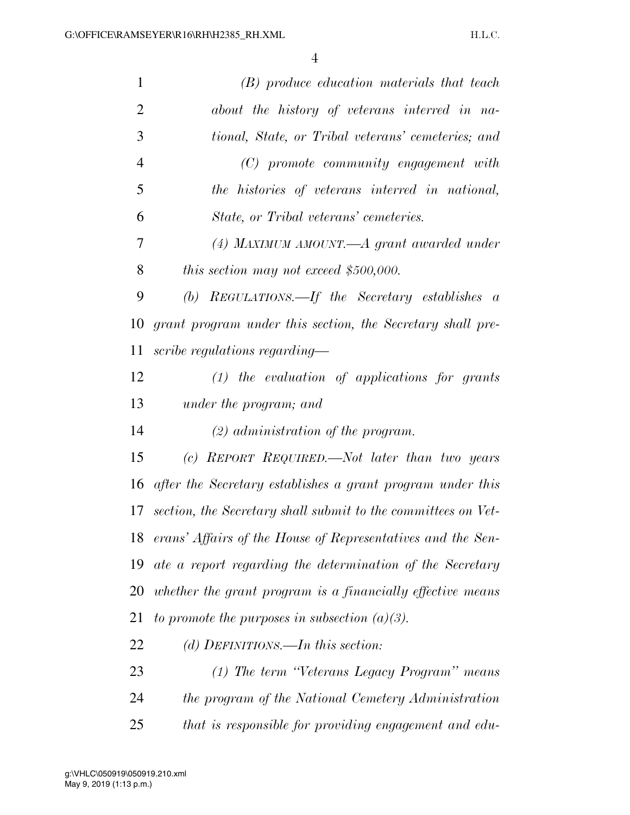| $\mathbf{1}$   | (B) produce education materials that teach                    |
|----------------|---------------------------------------------------------------|
| $\overline{2}$ | about the history of veterans interred in na-                 |
| 3              | tional, State, or Tribal veterans' cemeteries; and            |
| $\overline{4}$ | $(C)$ promote community engagement with                       |
| 5              | the histories of veterans interred in national,               |
| 6              | State, or Tribal veterans' cemeteries.                        |
| 7              | (4) MAXIMUM AMOUNT.—A grant awarded under                     |
| 8              | this section may not exceed $$500,000$ .                      |
| 9              | (b) REGULATIONS.—If the Secretary establishes $a$             |
| 10             | grant program under this section, the Secretary shall pre-    |
| 11             | scribe regulations regarding—                                 |
| 12             | $(1)$ the evaluation of applications for grants               |
| 13             | under the program; and                                        |
| 14             | $(2)$ administration of the program.                          |
| 15             | (c) REPORT REQUIRED.—Not later than two years                 |
| 16             | after the Secretary establishes a grant program under this    |
| 17             | section, the Secretary shall submit to the committees on Vet- |
| 18             | erans' Affairs of the House of Representatives and the Sen-   |
| 19             | ate a report regarding the determination of the Secretary     |
| 20             | whether the grant program is a financially effective means    |
| 21             | to promote the purposes in subsection $(a)(3)$ .              |
| 22             | (d) DEFINITIONS.—In this section:                             |
| 23             | (1) The term "Veterans Legacy Program" means                  |
| 24             | the program of the National Cemetery Administration           |
| 25             | that is responsible for providing engagement and edu-         |